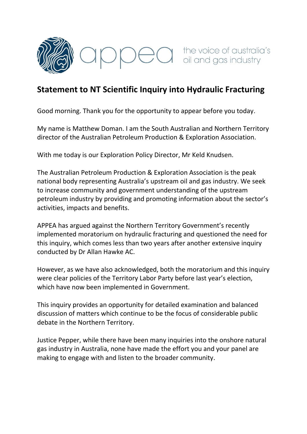

## **Statement to NT Scientific Inquiry into Hydraulic Fracturing**

Good morning. Thank you for the opportunity to appear before you today.

My name is Matthew Doman. I am the South Australian and Northern Territory director of the Australian Petroleum Production & Exploration Association.

With me today is our Exploration Policy Director, Mr Keld Knudsen.

The Australian Petroleum Production & Exploration Association is the peak national body representing Australia's upstream oil and gas industry. We seek to increase community and government understanding of the upstream petroleum industry by providing and promoting information about the sector's activities, impacts and benefits.

APPEA has argued against the Northern Territory Government's recently implemented moratorium on hydraulic fracturing and questioned the need for this inquiry, which comes less than two years after another extensive inquiry conducted by Dr Allan Hawke AC.

However, as we have also acknowledged, both the moratorium and this inquiry were clear policies of the Territory Labor Party before last year's election, which have now been implemented in Government.

This inquiry provides an opportunity for detailed examination and balanced discussion of matters which continue to be the focus of considerable public debate in the Northern Territory.

Justice Pepper, while there have been many inquiries into the onshore natural gas industry in Australia, none have made the effort you and your panel are making to engage with and listen to the broader community.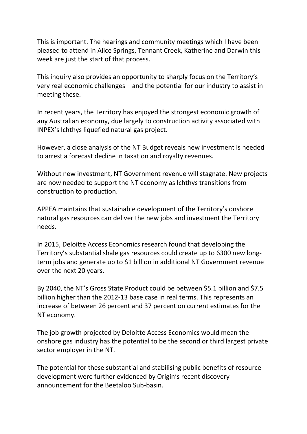This is important. The hearings and community meetings which I have been pleased to attend in Alice Springs, Tennant Creek, Katherine and Darwin this week are just the start of that process.

This inquiry also provides an opportunity to sharply focus on the Territory's very real economic challenges – and the potential for our industry to assist in meeting these.

In recent years, the Territory has enjoyed the strongest economic growth of any Australian economy, due largely to construction activity associated with INPEX's Ichthys liquefied natural gas project.

However, a close analysis of the NT Budget reveals new investment is needed to arrest a forecast decline in taxation and royalty revenues.

Without new investment, NT Government revenue will stagnate. New projects are now needed to support the NT economy as Ichthys transitions from construction to production.

APPEA maintains that sustainable development of the Territory's onshore natural gas resources can deliver the new jobs and investment the Territory needs.

In 2015, Deloitte Access Economics research found that developing the Territory's substantial shale gas resources could create up to 6300 new longterm jobs and generate up to \$1 billion in additional NT Government revenue over the next 20 years.

By 2040, the NT's Gross State Product could be between \$5.1 billion and \$7.5 billion higher than the 2012-13 base case in real terms. This represents an increase of between 26 percent and 37 percent on current estimates for the NT economy.

The job growth projected by Deloitte Access Economics would mean the onshore gas industry has the potential to be the second or third largest private sector employer in the NT.

The potential for these substantial and stabilising public benefits of resource development were further evidenced by Origin's recent discovery announcement for the Beetaloo Sub-basin.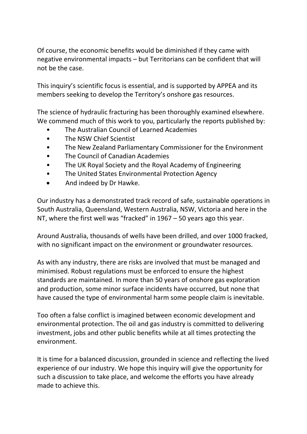Of course, the economic benefits would be diminished if they came with negative environmental impacts – but Territorians can be confident that will not be the case.

This inquiry's scientific focus is essential, and is supported by APPEA and its members seeking to develop the Territory's onshore gas resources.

The science of hydraulic fracturing has been thoroughly examined elsewhere. We commend much of this work to you, particularly the reports published by:

- The Australian Council of Learned Academies
- The NSW Chief Scientist
- The New Zealand Parliamentary Commissioner for the Environment
- The Council of Canadian Academies
- The UK Royal Society and the Royal Academy of Engineering
- The United States Environmental Protection Agency
- And indeed by Dr Hawke.

Our industry has a demonstrated track record of safe, sustainable operations in South Australia, Queensland, Western Australia, NSW, Victoria and here in the NT, where the first well was "fracked" in 1967 – 50 years ago this year.

Around Australia, thousands of wells have been drilled, and over 1000 fracked, with no significant impact on the environment or groundwater resources.

As with any industry, there are risks are involved that must be managed and minimised. Robust regulations must be enforced to ensure the highest standards are maintained. In more than 50 years of onshore gas exploration and production, some minor surface incidents have occurred, but none that have caused the type of environmental harm some people claim is inevitable.

Too often a false conflict is imagined between economic development and environmental protection. The oil and gas industry is committed to delivering investment, jobs and other public benefits while at all times protecting the environment.

It is time for a balanced discussion, grounded in science and reflecting the lived experience of our industry. We hope this inquiry will give the opportunity for such a discussion to take place, and welcome the efforts you have already made to achieve this.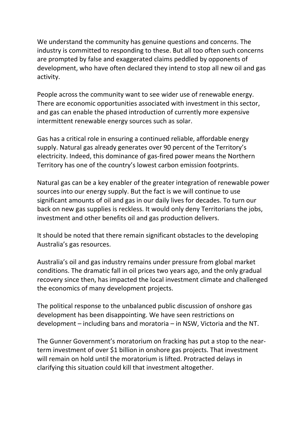We understand the community has genuine questions and concerns. The industry is committed to responding to these. But all too often such concerns are prompted by false and exaggerated claims peddled by opponents of development, who have often declared they intend to stop all new oil and gas activity.

People across the community want to see wider use of renewable energy. There are economic opportunities associated with investment in this sector, and gas can enable the phased introduction of currently more expensive intermittent renewable energy sources such as solar.

Gas has a critical role in ensuring a continued reliable, affordable energy supply. Natural gas already generates over 90 percent of the Territory's electricity. Indeed, this dominance of gas-fired power means the Northern Territory has one of the country's lowest carbon emission footprints.

Natural gas can be a key enabler of the greater integration of renewable power sources into our energy supply. But the fact is we will continue to use significant amounts of oil and gas in our daily lives for decades. To turn our back on new gas supplies is reckless. It would only deny Territorians the jobs, investment and other benefits oil and gas production delivers.

It should be noted that there remain significant obstacles to the developing Australia's gas resources.

Australia's oil and gas industry remains under pressure from global market conditions. The dramatic fall in oil prices two years ago, and the only gradual recovery since then, has impacted the local investment climate and challenged the economics of many development projects.

The political response to the unbalanced public discussion of onshore gas development has been disappointing. We have seen restrictions on development – including bans and moratoria – in NSW, Victoria and the NT.

The Gunner Government's moratorium on fracking has put a stop to the nearterm investment of over \$1 billion in onshore gas projects. That investment will remain on hold until the moratorium is lifted. Protracted delays in clarifying this situation could kill that investment altogether.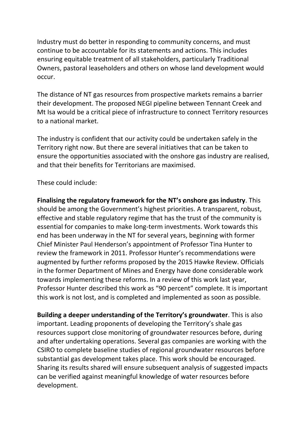Industry must do better in responding to community concerns, and must continue to be accountable for its statements and actions. This includes ensuring equitable treatment of all stakeholders, particularly Traditional Owners, pastoral leaseholders and others on whose land development would occur.

The distance of NT gas resources from prospective markets remains a barrier their development. The proposed NEGI pipeline between Tennant Creek and Mt Isa would be a critical piece of infrastructure to connect Territory resources to a national market.

The industry is confident that our activity could be undertaken safely in the Territory right now. But there are several initiatives that can be taken to ensure the opportunities associated with the onshore gas industry are realised, and that their benefits for Territorians are maximised.

## These could include:

**Finalising the regulatory framework for the NT's onshore gas industry**. This should be among the Government's highest priorities. A transparent, robust, effective and stable regulatory regime that has the trust of the community is essential for companies to make long-term investments. Work towards this end has been underway in the NT for several years, beginning with former Chief Minister Paul Henderson's appointment of Professor Tina Hunter to review the framework in 2011. Professor Hunter's recommendations were augmented by further reforms proposed by the 2015 Hawke Review. Officials in the former Department of Mines and Energy have done considerable work towards implementing these reforms. In a review of this work last year, Professor Hunter described this work as "90 percent" complete. It is important this work is not lost, and is completed and implemented as soon as possible.

**Building a deeper understanding of the Territory's groundwater**. This is also important. Leading proponents of developing the Territory's shale gas resources support close monitoring of groundwater resources before, during and after undertaking operations. Several gas companies are working with the CSIRO to complete baseline studies of regional groundwater resources before substantial gas development takes place. This work should be encouraged. Sharing its results shared will ensure subsequent analysis of suggested impacts can be verified against meaningful knowledge of water resources before development.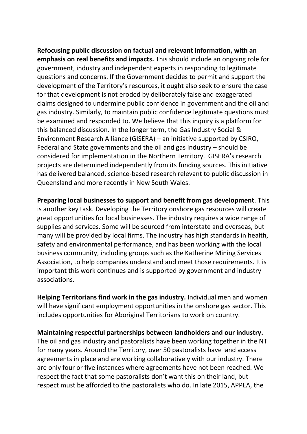**Refocusing public discussion on factual and relevant information, with an emphasis on real benefits and impacts.** This should include an ongoing role for government, industry and independent experts in responding to legitimate questions and concerns. If the Government decides to permit and support the development of the Territory's resources, it ought also seek to ensure the case for that development is not eroded by deliberately false and exaggerated claims designed to undermine public confidence in government and the oil and gas industry. Similarly, to maintain public confidence legitimate questions must be examined and responded to. We believe that this inquiry is a platform for this balanced discussion. In the longer term, the Gas Industry Social & Environment Research Alliance (GISERA) – an initiative supported by CSIRO, Federal and State governments and the oil and gas industry – should be considered for implementation in the Northern Territory. GISERA's research projects are determined independently from its funding sources. This initiative has delivered balanced, science-based research relevant to public discussion in Queensland and more recently in New South Wales.

**Preparing local businesses to support and benefit from gas development**. This is another key task. Developing the Territory onshore gas resources will create great opportunities for local businesses. The industry requires a wide range of supplies and services. Some will be sourced from interstate and overseas, but many will be provided by local firms. The industry has high standards in health, safety and environmental performance, and has been working with the local business community, including groups such as the Katherine Mining Services Association, to help companies understand and meet those requirements. It is important this work continues and is supported by government and industry associations.

**Helping Territorians find work in the gas industry.** Individual men and women will have significant employment opportunities in the onshore gas sector. This includes opportunities for Aboriginal Territorians to work on country.

**Maintaining respectful partnerships between landholders and our industry.** The oil and gas industry and pastoralists have been working together in the NT for many years. Around the Territory, over 50 pastoralists have land access agreements in place and are working collaboratively with our industry. There are only four or five instances where agreements have not been reached. We respect the fact that some pastoralists don't want this on their land, but respect must be afforded to the pastoralists who do. In late 2015, APPEA, the